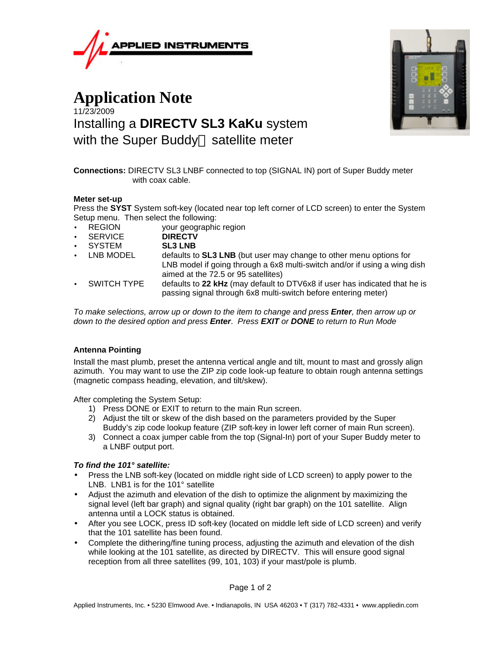

# **Application Note** 11/23/2009 Installing a **DIRECTV SL3 KaKu** system with the Super Buddy<sup> $M$ </sup> satellite meter



**Connections:** DIRECTV SL3 LNBF connected to top (SIGNAL IN) port of Super Buddy meter with coax cable.

### **Meter set-up**

Press the **SYST** System soft-key (located near top left corner of LCD screen) to enter the System Setup menu. Then select the following:

- REGION your geographic region
- SERVICE **DIRECTV**
- SYSTEM **SL3 LNB**
- LNB MODEL defaults to **SL3 LNB** (but user may change to other menu options for LNB model if going through a 6x8 multi-switch and/or if using a wing dish aimed at the 72.5 or 95 satellites)
- SWITCH TYPE defaults to **22 kHz** (may default to DTV6x8 if user has indicated that he is passing signal through 6x8 multi-switch before entering meter)

*To make selections, arrow up or down to the item to change and press Enter, then arrow up or down to the desired option and press Enter*. *Press EXIT or DONE to return to Run Mode*

## **Antenna Pointing**

Install the mast plumb, preset the antenna vertical angle and tilt, mount to mast and grossly align azimuth. You may want to use the ZIP zip code look-up feature to obtain rough antenna settings (magnetic compass heading, elevation, and tilt/skew).

After completing the System Setup:

- 1) Press DONE or EXIT to return to the main Run screen.
- 2) Adjust the tilt or skew of the dish based on the parameters provided by the Super Buddy's zip code lookup feature (ZIP soft-key in lower left corner of main Run screen).
- 3) Connect a coax jumper cable from the top (Signal-In) port of your Super Buddy meter to a LNBF output port.

## *To find the 101° satellite:*

- Press the LNB soft-key (located on middle right side of LCD screen) to apply power to the LNB. LNB1 is for the 101° satellite
- Adjust the azimuth and elevation of the dish to optimize the alignment by maximizing the signal level (left bar graph) and signal quality (right bar graph) on the 101 satellite. Align antenna until a LOCK status is obtained.
- After you see LOCK, press ID soft-key (located on middle left side of LCD screen) and verify that the 101 satellite has been found.
- Complete the dithering/fine tuning process, adjusting the azimuth and elevation of the dish while looking at the 101 satellite, as directed by DIRECTV. This will ensure good signal reception from all three satellites (99, 101, 103) if your mast/pole is plumb.

Page 1 of 2